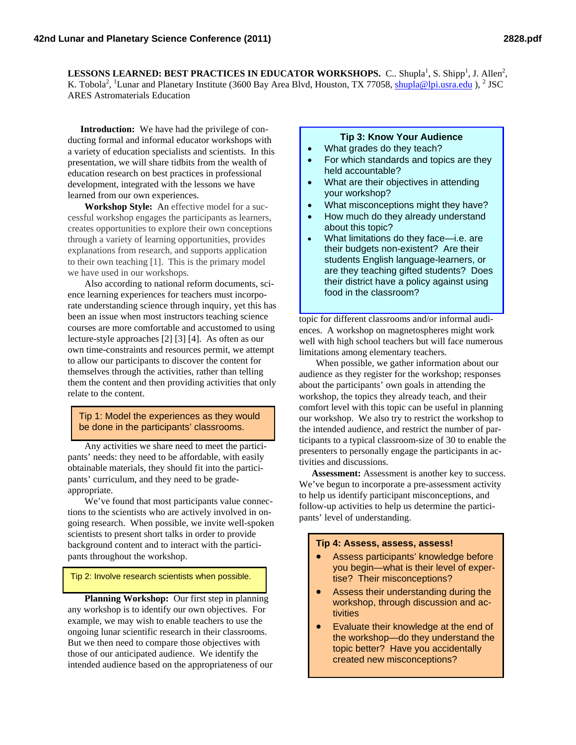LESSONS LEARNED: BEST PRACTICES IN EDUCATOR WORKSHOPS. C.. Shupla<sup>1</sup>, S. Shipp<sup>1</sup>, J. Allen<sup>2</sup>, K. Tobola<sup>2</sup>, <sup>1</sup>Lunar and Planetary Institute (3600 Bay Area Blvd, Houston, TX 77058, shupla@lpi.usra.edu), <sup>2</sup> JSC ARES Astromaterials Education

**Introduction:** We have had the privilege of conducting formal and informal educator workshops with a variety of education specialists and scientists. In this presentation, we will share tidbits from the wealth of education research on best practices in professional development, integrated with the lessons we have learned from our own experiences.

**Workshop Style:** An effective model for a successful workshop engages the participants as learners, creates opportunities to explore their own conceptions through a variety of learning opportunities, provides explanations from research, and supports application to their own teaching [1]. This is the primary model we have used in our workshops.

Also according to national reform documents, science learning experiences for teachers must incorporate understanding science through inquiry, yet this has been an issue when most instructors teaching science courses are more comfortable and accustomed to using lecture-style approaches [2] [3] [4]. As often as our own time-constraints and resources permit, we attempt to allow our participants to discover the content for themselves through the activities, rather than telling them the content and then providing activities that only relate to the content.

Tip 1: Model the experiences as they would be done in the participants' classrooms.

Any activities we share need to meet the participants' needs: they need to be affordable, with easily obtainable materials, they should fit into the participants' curriculum, and they need to be gradeappropriate.

We've found that most participants value connections to the scientists who are actively involved in ongoing research. When possible, we invite well-spoken scientists to present short talks in order to provide background content and to interact with the participants throughout the workshop.

Tip 2: Involve research scientists when possible.

**Planning Workshop:** Our first step in planning any workshop is to identify our own objectives. For example, we may wish to enable teachers to use the ongoing lunar scientific research in their classrooms. But we then need to compare those objectives with those of our anticipated audience. We identify the intended audience based on the appropriateness of our

## **Tip 3: Know Your Audience**

- What grades do they teach?
- For which standards and topics are they held accountable?
- What are their objectives in attending your workshop?
- What misconceptions might they have?
- How much do they already understand about this topic?
- What limitations do they face—i.e. are their budgets non-existent? Are their students English language-learners, or are they teaching gifted students? Does their district have a policy against using food in the classroom?

topic for different classrooms and/or informal audiences. A workshop on magnetospheres might work well with high school teachers but will face numerous limitations among elementary teachers.

When possible, we gather information about our audience as they register for the workshop; responses about the participants' own goals in attending the workshop, the topics they already teach, and their comfort level with this topic can be useful in planning our workshop. We also try to restrict the workshop to the intended audience, and restrict the number of participants to a typical classroom-size of 30 to enable the presenters to personally engage the participants in activities and discussions.

**Assessment:** Assessment is another key to success. We've begun to incorporate a pre-assessment activity to help us identify participant misconceptions, and follow-up activities to help us determine the participants' level of understanding.

## **Tip 4: Assess, assess, assess!**

- Assess participants' knowledge before you begin—what is their level of expertise? Their misconceptions?
- Assess their understanding during the workshop, through discussion and activities
- Evaluate their knowledge at the end of the workshop—do they understand the topic better? Have you accidentally created new misconceptions?